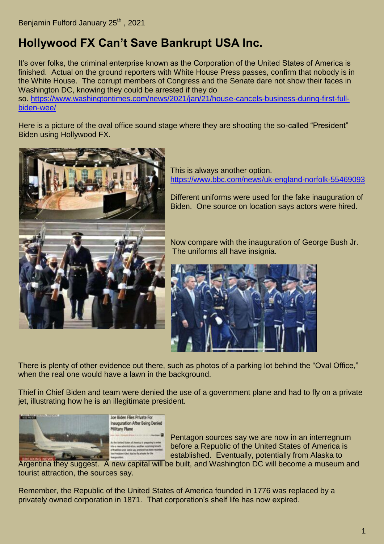## **Hollywood FX Can't Save Bankrupt USA Inc.**

It's over folks, the criminal enterprise known as the Corporation of the United States of America is finished. Actual on the ground reporters with White House Press passes, confirm that nobody is in the White House. The corrupt members of Congress and the Senate dare not show their faces in Washington DC, knowing they could be arrested if they do

so. [https://www.washingtontimes.com/news/2021/jan/21/house-cancels-business-during-first-full](https://www.washingtontimes.com/news/2021/jan/21/house-cancels-business-during-first-full-biden-wee/)[biden-wee/](https://www.washingtontimes.com/news/2021/jan/21/house-cancels-business-during-first-full-biden-wee/)

Here is a picture of the oval office sound stage where they are shooting the so-called "President" Biden using Hollywood FX.



This is always another option. <https://www.bbc.com/news/uk-england-norfolk-55469093>

Different uniforms were used for the fake inauguration of Biden. One source on location says actors were hired.

Now compare with the inauguration of George Bush Jr. The uniforms all have insignia.



There is plenty of other evidence out there, such as photos of a parking lot behind the "Oval Office," when the real one would have a lawn in the background.

Thief in Chief Biden and team were denied the use of a government plane and had to fly on a private jet, illustrating how he is an illegitimate president.



Pentagon sources say we are now in an interregnum before a Republic of the United States of America is established. Eventually, potentially from Alaska to

Argentina they suggest. A new capital will be built, and Washington DC will become a museum and tourist attraction, the sources say.

Remember, the Republic of the United States of America founded in 1776 was replaced by a privately owned corporation in 1871. That corporation's shelf life has now expired.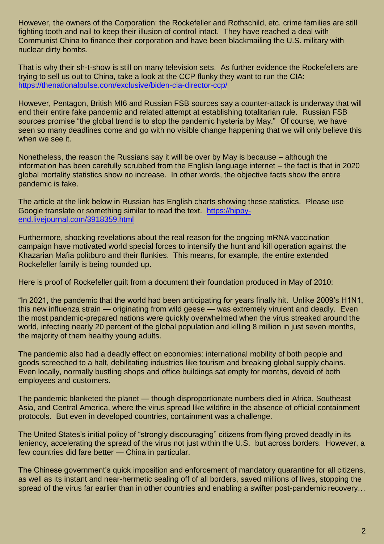However, the owners of the Corporation: the Rockefeller and Rothschild, etc. crime families are still fighting tooth and nail to keep their illusion of control intact. They have reached a deal with Communist China to finance their corporation and have been blackmailing the U.S. military with nuclear dirty bombs.

That is why their sh-t-show is still on many television sets. As further evidence the Rockefellers are trying to sell us out to China, take a look at the CCP flunky they want to run the CIA: <https://thenationalpulse.com/exclusive/biden-cia-director-ccp/>

However, Pentagon, British MI6 and Russian FSB sources say a counter-attack is underway that will end their entire fake pandemic and related attempt at establishing totalitarian rule. Russian FSB sources promise "the global trend is to stop the pandemic hysteria by May." Of course, we have seen so many deadlines come and go with no visible change happening that we will only believe this when we see it.

Nonetheless, the reason the Russians say it will be over by May is because – although the information has been carefully scrubbed from the English language internet – the fact is that in 2020 global mortality statistics show no increase. In other words, the objective facts show the entire pandemic is fake.

The article at the link below in Russian has English charts showing these statistics. Please use Google translate or something similar to read the text. [https://hippy](https://hippy-end.livejournal.com/3918359.html)[end.livejournal.com/3918359.html](https://hippy-end.livejournal.com/3918359.html)

Furthermore, shocking revelations about the real reason for the ongoing mRNA vaccination campaign have motivated world special forces to intensify the hunt and kill operation against the Khazarian Mafia politburo and their flunkies. This means, for example, the entire extended Rockefeller family is being rounded up.

Here is proof of Rockefeller guilt from a document their foundation produced in May of 2010:

"In 2021, the pandemic that the world had been anticipating for years finally hit. Unlike 2009's H1N1, this new influenza strain — originating from wild geese — was extremely virulent and deadly. Even the most pandemic-prepared nations were quickly overwhelmed when the virus streaked around the world, infecting nearly 20 percent of the global population and killing 8 million in just seven months, the majority of them healthy young adults.

The pandemic also had a deadly effect on economies: international mobility of both people and goods screeched to a halt, debilitating industries like tourism and breaking global supply chains. Even locally, normally bustling shops and office buildings sat empty for months, devoid of both employees and customers.

The pandemic blanketed the planet — though disproportionate numbers died in Africa, Southeast Asia, and Central America, where the virus spread like wildfire in the absence of official containment protocols. But even in developed countries, containment was a challenge.

The United States's initial policy of "strongly discouraging" citizens from flying proved deadly in its leniency, accelerating the spread of the virus not just within the U.S. but across borders. However, a few countries did fare better — China in particular.

The Chinese government's quick imposition and enforcement of mandatory quarantine for all citizens, as well as its instant and near-hermetic sealing off of all borders, saved millions of lives, stopping the spread of the virus far earlier than in other countries and enabling a swifter post-pandemic recovery…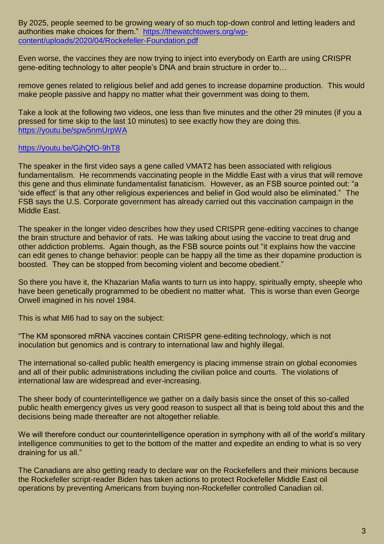By 2025, people seemed to be growing weary of so much top-down control and letting leaders and authorities make choices for them." [https://thewatchtowers.org/wp](https://thewatchtowers.org/wp-content/uploads/2020/04/Rockefeller-Foundation.pdf)[content/uploads/2020/04/Rockefeller-Foundation.pdf](https://thewatchtowers.org/wp-content/uploads/2020/04/Rockefeller-Foundation.pdf)

Even worse, the vaccines they are now trying to inject into everybody on Earth are using CRISPR gene-editing technology to alter people's DNA and brain structure in order to…

remove genes related to religious belief and add genes to increase dopamine production. This would make people passive and happy no matter what their government was doing to them.

Take a look at the following two videos, one less than five minutes and the other 29 minutes (if you a pressed for time skip to the last 10 minutes) to see exactly how they are doing this. <https://youtu.be/spw5nmUrpWA>

## <https://youtu.be/GjhQfO-9hT8>

The speaker in the first video says a gene called VMAT2 has been associated with religious fundamentalism. He recommends vaccinating people in the Middle East with a virus that will remove this gene and thus eliminate fundamentalist fanaticism. However, as an FSB source pointed out: "a 'side effect' is that any other religious experiences and belief in God would also be eliminated." The FSB says the U.S. Corporate government has already carried out this vaccination campaign in the Middle East.

The speaker in the longer video describes how they used CRISPR gene-editing vaccines to change the brain structure and behavior of rats. He was talking about using the vaccine to treat drug and other addiction problems. Again though, as the FSB source points out "it explains how the vaccine can edit genes to change behavior: people can be happy all the time as their dopamine production is boosted. They can be stopped from becoming violent and become obedient."

So there you have it, the Khazarian Mafia wants to turn us into happy, spiritually empty, sheeple who have been genetically programmed to be obedient no matter what. This is worse than even George Orwell imagined in his novel 1984.

This is what MI6 had to say on the subject:

"The KM sponsored mRNA vaccines contain CRISPR gene-editing technology, which is not inoculation but genomics and is contrary to international law and highly illegal.

The international so-called public health emergency is placing immense strain on global economies and all of their public administrations including the civilian police and courts. The violations of international law are widespread and ever-increasing.

The sheer body of counterintelligence we gather on a daily basis since the onset of this so-called public health emergency gives us very good reason to suspect all that is being told about this and the decisions being made thereafter are not altogether reliable.

We will therefore conduct our counterintelligence operation in symphony with all of the world's military intelligence communities to get to the bottom of the matter and expedite an ending to what is so very draining for us all."

The Canadians are also getting ready to declare war on the Rockefellers and their minions because the Rockefeller script-reader Biden has taken actions to protect Rockefeller Middle East oil operations by preventing Americans from buying non-Rockefeller controlled Canadian oil.